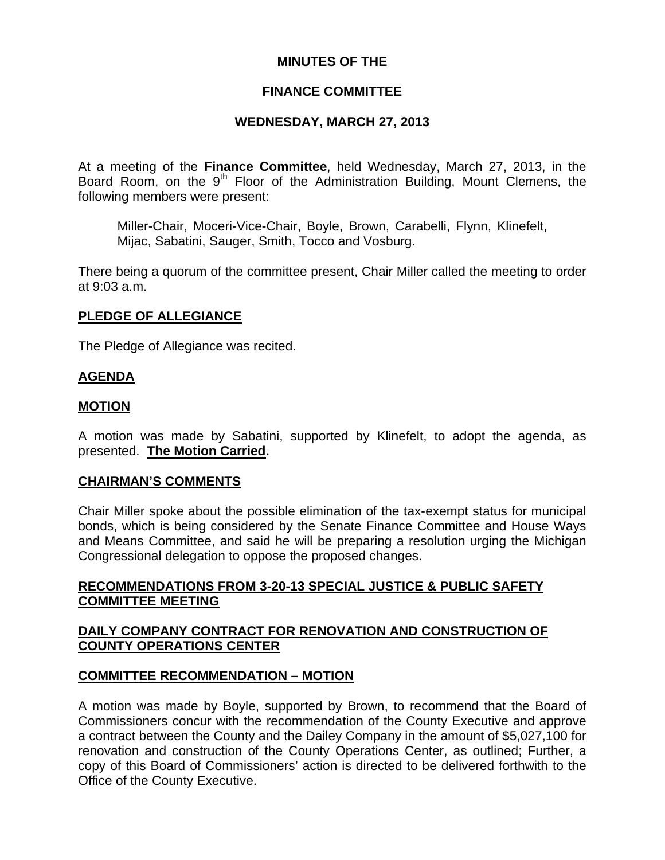## **MINUTES OF THE**

### **FINANCE COMMITTEE**

### **WEDNESDAY, MARCH 27, 2013**

At a meeting of the **Finance Committee**, held Wednesday, March 27, 2013, in the Board Room, on the 9<sup>th</sup> Floor of the Administration Building, Mount Clemens, the following members were present:

Miller-Chair, Moceri-Vice-Chair, Boyle, Brown, Carabelli, Flynn, Klinefelt, Mijac, Sabatini, Sauger, Smith, Tocco and Vosburg.

There being a quorum of the committee present, Chair Miller called the meeting to order at 9:03 a.m.

### **PLEDGE OF ALLEGIANCE**

The Pledge of Allegiance was recited.

#### **AGENDA**

#### **MOTION**

A motion was made by Sabatini, supported by Klinefelt, to adopt the agenda, as presented. **The Motion Carried.** 

#### **CHAIRMAN'S COMMENTS**

Chair Miller spoke about the possible elimination of the tax-exempt status for municipal bonds, which is being considered by the Senate Finance Committee and House Ways and Means Committee, and said he will be preparing a resolution urging the Michigan Congressional delegation to oppose the proposed changes.

### **RECOMMENDATIONS FROM 3-20-13 SPECIAL JUSTICE & PUBLIC SAFETY COMMITTEE MEETING**

### **DAILY COMPANY CONTRACT FOR RENOVATION AND CONSTRUCTION OF COUNTY OPERATIONS CENTER**

#### **COMMITTEE RECOMMENDATION – MOTION**

A motion was made by Boyle, supported by Brown, to recommend that the Board of Commissioners concur with the recommendation of the County Executive and approve a contract between the County and the Dailey Company in the amount of \$5,027,100 for renovation and construction of the County Operations Center, as outlined; Further, a copy of this Board of Commissioners' action is directed to be delivered forthwith to the Office of the County Executive.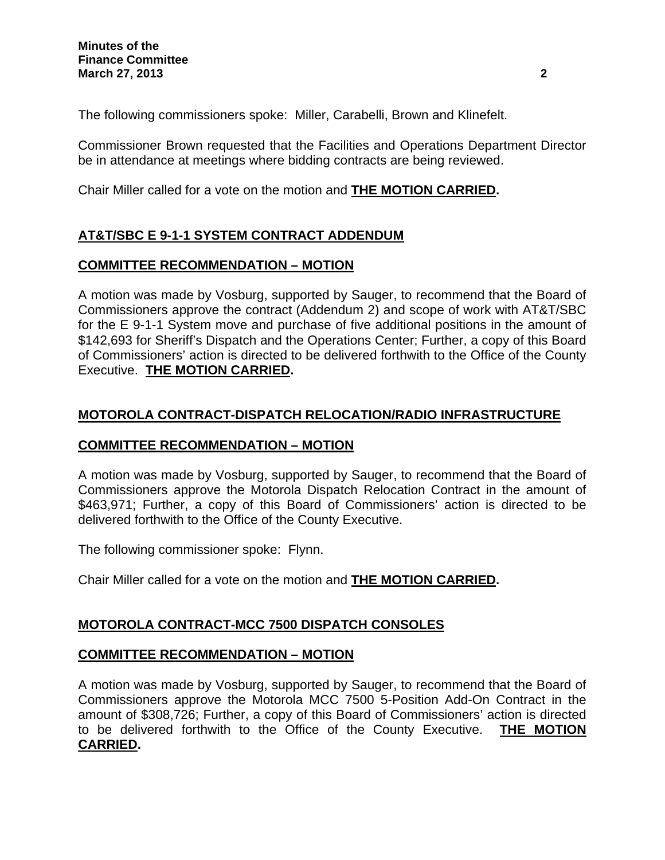The following commissioners spoke: Miller, Carabelli, Brown and Klinefelt.

Commissioner Brown requested that the Facilities and Operations Department Director be in attendance at meetings where bidding contracts are being reviewed.

Chair Miller called for a vote on the motion and **THE MOTION CARRIED.** 

# **AT&T/SBC E 9-1-1 SYSTEM CONTRACT ADDENDUM**

# **COMMITTEE RECOMMENDATION – MOTION**

A motion was made by Vosburg, supported by Sauger, to recommend that the Board of Commissioners approve the contract (Addendum 2) and scope of work with AT&T/SBC for the E 9-1-1 System move and purchase of five additional positions in the amount of \$142,693 for Sheriff's Dispatch and the Operations Center; Further, a copy of this Board of Commissioners' action is directed to be delivered forthwith to the Office of the County Executive. **THE MOTION CARRIED.** 

# **MOTOROLA CONTRACT-DISPATCH RELOCATION/RADIO INFRASTRUCTURE**

# **COMMITTEE RECOMMENDATION – MOTION**

A motion was made by Vosburg, supported by Sauger, to recommend that the Board of Commissioners approve the Motorola Dispatch Relocation Contract in the amount of \$463,971; Further, a copy of this Board of Commissioners' action is directed to be delivered forthwith to the Office of the County Executive.

The following commissioner spoke: Flynn.

Chair Miller called for a vote on the motion and **THE MOTION CARRIED.** 

# **MOTOROLA CONTRACT-MCC 7500 DISPATCH CONSOLES**

# **COMMITTEE RECOMMENDATION – MOTION**

A motion was made by Vosburg, supported by Sauger, to recommend that the Board of Commissioners approve the Motorola MCC 7500 5-Position Add-On Contract in the amount of \$308,726; Further, a copy of this Board of Commissioners' action is directed to be delivered forthwith to the Office of the County Executive. **THE MOTION CARRIED.**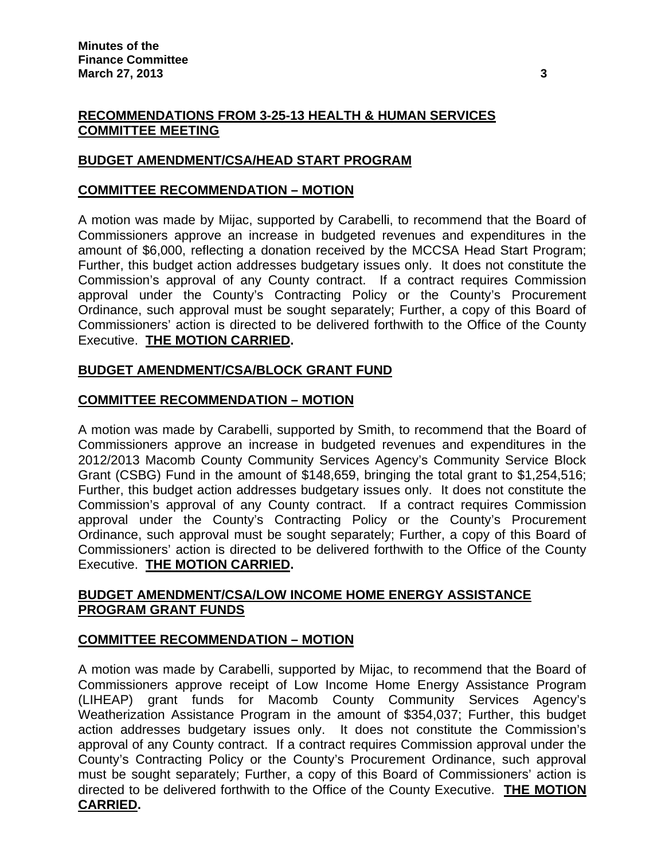# **RECOMMENDATIONS FROM 3-25-13 HEALTH & HUMAN SERVICES COMMITTEE MEETING**

## **BUDGET AMENDMENT/CSA/HEAD START PROGRAM**

### **COMMITTEE RECOMMENDATION – MOTION**

A motion was made by Mijac, supported by Carabelli, to recommend that the Board of Commissioners approve an increase in budgeted revenues and expenditures in the amount of \$6,000, reflecting a donation received by the MCCSA Head Start Program; Further, this budget action addresses budgetary issues only. It does not constitute the Commission's approval of any County contract. If a contract requires Commission approval under the County's Contracting Policy or the County's Procurement Ordinance, such approval must be sought separately; Further, a copy of this Board of Commissioners' action is directed to be delivered forthwith to the Office of the County Executive. **THE MOTION CARRIED.** 

## **BUDGET AMENDMENT/CSA/BLOCK GRANT FUND**

### **COMMITTEE RECOMMENDATION – MOTION**

A motion was made by Carabelli, supported by Smith, to recommend that the Board of Commissioners approve an increase in budgeted revenues and expenditures in the 2012/2013 Macomb County Community Services Agency's Community Service Block Grant (CSBG) Fund in the amount of \$148,659, bringing the total grant to \$1,254,516; Further, this budget action addresses budgetary issues only. It does not constitute the Commission's approval of any County contract. If a contract requires Commission approval under the County's Contracting Policy or the County's Procurement Ordinance, such approval must be sought separately; Further, a copy of this Board of Commissioners' action is directed to be delivered forthwith to the Office of the County Executive. **THE MOTION CARRIED.** 

## **BUDGET AMENDMENT/CSA/LOW INCOME HOME ENERGY ASSISTANCE PROGRAM GRANT FUNDS**

## **COMMITTEE RECOMMENDATION – MOTION**

A motion was made by Carabelli, supported by Mijac, to recommend that the Board of Commissioners approve receipt of Low Income Home Energy Assistance Program (LIHEAP) grant funds for Macomb County Community Services Agency's Weatherization Assistance Program in the amount of \$354,037; Further, this budget action addresses budgetary issues only. It does not constitute the Commission's approval of any County contract. If a contract requires Commission approval under the County's Contracting Policy or the County's Procurement Ordinance, such approval must be sought separately; Further, a copy of this Board of Commissioners' action is directed to be delivered forthwith to the Office of the County Executive. **THE MOTION CARRIED.**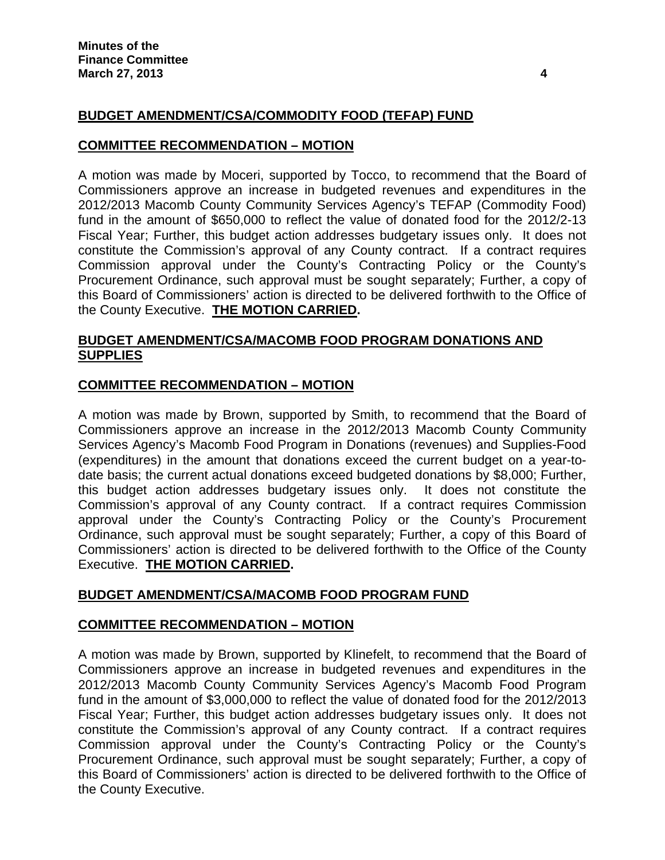# **BUDGET AMENDMENT/CSA/COMMODITY FOOD (TEFAP) FUND**

#### **COMMITTEE RECOMMENDATION – MOTION**

A motion was made by Moceri, supported by Tocco, to recommend that the Board of Commissioners approve an increase in budgeted revenues and expenditures in the 2012/2013 Macomb County Community Services Agency's TEFAP (Commodity Food) fund in the amount of \$650,000 to reflect the value of donated food for the 2012/2-13 Fiscal Year; Further, this budget action addresses budgetary issues only. It does not constitute the Commission's approval of any County contract. If a contract requires Commission approval under the County's Contracting Policy or the County's Procurement Ordinance, such approval must be sought separately; Further, a copy of this Board of Commissioners' action is directed to be delivered forthwith to the Office of the County Executive. **THE MOTION CARRIED.** 

## **BUDGET AMENDMENT/CSA/MACOMB FOOD PROGRAM DONATIONS AND SUPPLIES**

### **COMMITTEE RECOMMENDATION – MOTION**

A motion was made by Brown, supported by Smith, to recommend that the Board of Commissioners approve an increase in the 2012/2013 Macomb County Community Services Agency's Macomb Food Program in Donations (revenues) and Supplies-Food (expenditures) in the amount that donations exceed the current budget on a year-todate basis; the current actual donations exceed budgeted donations by \$8,000; Further, this budget action addresses budgetary issues only. It does not constitute the Commission's approval of any County contract. If a contract requires Commission approval under the County's Contracting Policy or the County's Procurement Ordinance, such approval must be sought separately; Further, a copy of this Board of Commissioners' action is directed to be delivered forthwith to the Office of the County Executive. **THE MOTION CARRIED.** 

#### **BUDGET AMENDMENT/CSA/MACOMB FOOD PROGRAM FUND**

#### **COMMITTEE RECOMMENDATION – MOTION**

A motion was made by Brown, supported by Klinefelt, to recommend that the Board of Commissioners approve an increase in budgeted revenues and expenditures in the 2012/2013 Macomb County Community Services Agency's Macomb Food Program fund in the amount of \$3,000,000 to reflect the value of donated food for the 2012/2013 Fiscal Year; Further, this budget action addresses budgetary issues only. It does not constitute the Commission's approval of any County contract. If a contract requires Commission approval under the County's Contracting Policy or the County's Procurement Ordinance, such approval must be sought separately; Further, a copy of this Board of Commissioners' action is directed to be delivered forthwith to the Office of the County Executive.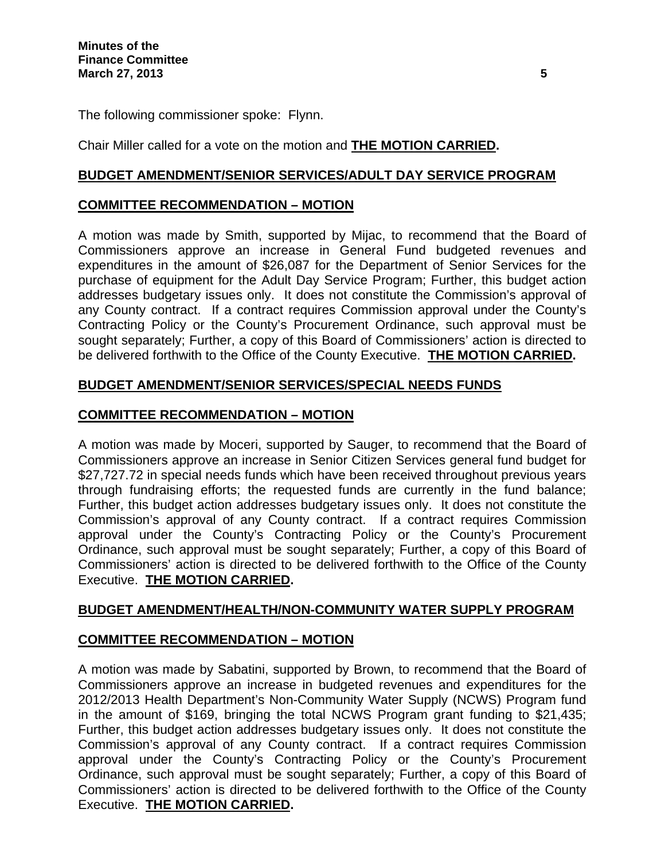The following commissioner spoke: Flynn.

Chair Miller called for a vote on the motion and **THE MOTION CARRIED.** 

## **BUDGET AMENDMENT/SENIOR SERVICES/ADULT DAY SERVICE PROGRAM**

## **COMMITTEE RECOMMENDATION – MOTION**

A motion was made by Smith, supported by Mijac, to recommend that the Board of Commissioners approve an increase in General Fund budgeted revenues and expenditures in the amount of \$26,087 for the Department of Senior Services for the purchase of equipment for the Adult Day Service Program; Further, this budget action addresses budgetary issues only. It does not constitute the Commission's approval of any County contract. If a contract requires Commission approval under the County's Contracting Policy or the County's Procurement Ordinance, such approval must be sought separately; Further, a copy of this Board of Commissioners' action is directed to be delivered forthwith to the Office of the County Executive. **THE MOTION CARRIED.** 

# **BUDGET AMENDMENT/SENIOR SERVICES/SPECIAL NEEDS FUNDS**

# **COMMITTEE RECOMMENDATION – MOTION**

A motion was made by Moceri, supported by Sauger, to recommend that the Board of Commissioners approve an increase in Senior Citizen Services general fund budget for \$27,727.72 in special needs funds which have been received throughout previous years through fundraising efforts; the requested funds are currently in the fund balance; Further, this budget action addresses budgetary issues only. It does not constitute the Commission's approval of any County contract. If a contract requires Commission approval under the County's Contracting Policy or the County's Procurement Ordinance, such approval must be sought separately; Further, a copy of this Board of Commissioners' action is directed to be delivered forthwith to the Office of the County Executive. **THE MOTION CARRIED.** 

## **BUDGET AMENDMENT/HEALTH/NON-COMMUNITY WATER SUPPLY PROGRAM**

## **COMMITTEE RECOMMENDATION – MOTION**

A motion was made by Sabatini, supported by Brown, to recommend that the Board of Commissioners approve an increase in budgeted revenues and expenditures for the 2012/2013 Health Department's Non-Community Water Supply (NCWS) Program fund in the amount of \$169, bringing the total NCWS Program grant funding to \$21,435; Further, this budget action addresses budgetary issues only. It does not constitute the Commission's approval of any County contract. If a contract requires Commission approval under the County's Contracting Policy or the County's Procurement Ordinance, such approval must be sought separately; Further, a copy of this Board of Commissioners' action is directed to be delivered forthwith to the Office of the County Executive. **THE MOTION CARRIED.**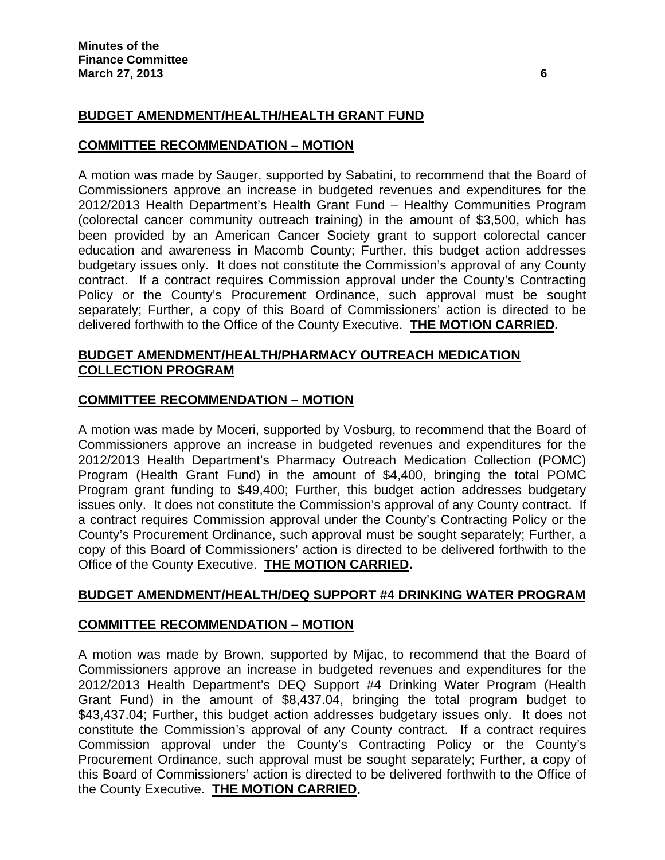# **BUDGET AMENDMENT/HEALTH/HEALTH GRANT FUND**

### **COMMITTEE RECOMMENDATION – MOTION**

A motion was made by Sauger, supported by Sabatini, to recommend that the Board of Commissioners approve an increase in budgeted revenues and expenditures for the 2012/2013 Health Department's Health Grant Fund – Healthy Communities Program (colorectal cancer community outreach training) in the amount of \$3,500, which has been provided by an American Cancer Society grant to support colorectal cancer education and awareness in Macomb County; Further, this budget action addresses budgetary issues only. It does not constitute the Commission's approval of any County contract. If a contract requires Commission approval under the County's Contracting Policy or the County's Procurement Ordinance, such approval must be sought separately; Further, a copy of this Board of Commissioners' action is directed to be delivered forthwith to the Office of the County Executive. **THE MOTION CARRIED.** 

### **BUDGET AMENDMENT/HEALTH/PHARMACY OUTREACH MEDICATION COLLECTION PROGRAM**

### **COMMITTEE RECOMMENDATION – MOTION**

A motion was made by Moceri, supported by Vosburg, to recommend that the Board of Commissioners approve an increase in budgeted revenues and expenditures for the 2012/2013 Health Department's Pharmacy Outreach Medication Collection (POMC) Program (Health Grant Fund) in the amount of \$4,400, bringing the total POMC Program grant funding to \$49,400; Further, this budget action addresses budgetary issues only. It does not constitute the Commission's approval of any County contract. If a contract requires Commission approval under the County's Contracting Policy or the County's Procurement Ordinance, such approval must be sought separately; Further, a copy of this Board of Commissioners' action is directed to be delivered forthwith to the Office of the County Executive. **THE MOTION CARRIED.** 

#### **BUDGET AMENDMENT/HEALTH/DEQ SUPPORT #4 DRINKING WATER PROGRAM**

#### **COMMITTEE RECOMMENDATION – MOTION**

A motion was made by Brown, supported by Mijac, to recommend that the Board of Commissioners approve an increase in budgeted revenues and expenditures for the 2012/2013 Health Department's DEQ Support #4 Drinking Water Program (Health Grant Fund) in the amount of \$8,437.04, bringing the total program budget to \$43,437.04; Further, this budget action addresses budgetary issues only. It does not constitute the Commission's approval of any County contract. If a contract requires Commission approval under the County's Contracting Policy or the County's Procurement Ordinance, such approval must be sought separately; Further, a copy of this Board of Commissioners' action is directed to be delivered forthwith to the Office of the County Executive. **THE MOTION CARRIED.**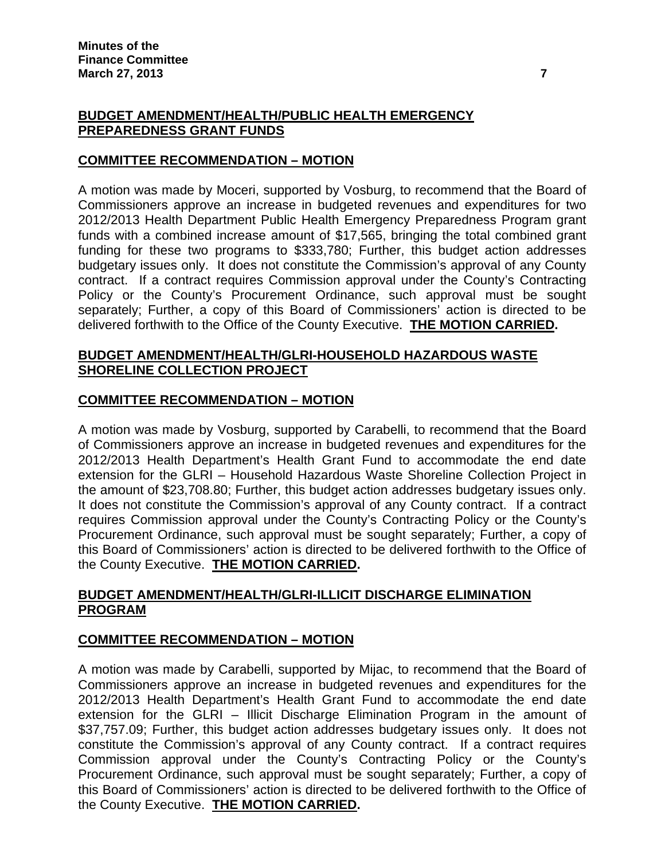# **BUDGET AMENDMENT/HEALTH/PUBLIC HEALTH EMERGENCY PREPAREDNESS GRANT FUNDS**

## **COMMITTEE RECOMMENDATION – MOTION**

A motion was made by Moceri, supported by Vosburg, to recommend that the Board of Commissioners approve an increase in budgeted revenues and expenditures for two 2012/2013 Health Department Public Health Emergency Preparedness Program grant funds with a combined increase amount of \$17,565, bringing the total combined grant funding for these two programs to \$333,780; Further, this budget action addresses budgetary issues only. It does not constitute the Commission's approval of any County contract. If a contract requires Commission approval under the County's Contracting Policy or the County's Procurement Ordinance, such approval must be sought separately; Further, a copy of this Board of Commissioners' action is directed to be delivered forthwith to the Office of the County Executive. **THE MOTION CARRIED.** 

### **BUDGET AMENDMENT/HEALTH/GLRI-HOUSEHOLD HAZARDOUS WASTE SHORELINE COLLECTION PROJECT**

## **COMMITTEE RECOMMENDATION – MOTION**

A motion was made by Vosburg, supported by Carabelli, to recommend that the Board of Commissioners approve an increase in budgeted revenues and expenditures for the 2012/2013 Health Department's Health Grant Fund to accommodate the end date extension for the GLRI – Household Hazardous Waste Shoreline Collection Project in the amount of \$23,708.80; Further, this budget action addresses budgetary issues only. It does not constitute the Commission's approval of any County contract. If a contract requires Commission approval under the County's Contracting Policy or the County's Procurement Ordinance, such approval must be sought separately; Further, a copy of this Board of Commissioners' action is directed to be delivered forthwith to the Office of the County Executive. **THE MOTION CARRIED.** 

# **BUDGET AMENDMENT/HEALTH/GLRI-ILLICIT DISCHARGE ELIMINATION PROGRAM**

## **COMMITTEE RECOMMENDATION – MOTION**

A motion was made by Carabelli, supported by Mijac, to recommend that the Board of Commissioners approve an increase in budgeted revenues and expenditures for the 2012/2013 Health Department's Health Grant Fund to accommodate the end date extension for the GLRI – Illicit Discharge Elimination Program in the amount of \$37,757.09; Further, this budget action addresses budgetary issues only. It does not constitute the Commission's approval of any County contract. If a contract requires Commission approval under the County's Contracting Policy or the County's Procurement Ordinance, such approval must be sought separately; Further, a copy of this Board of Commissioners' action is directed to be delivered forthwith to the Office of the County Executive. **THE MOTION CARRIED.**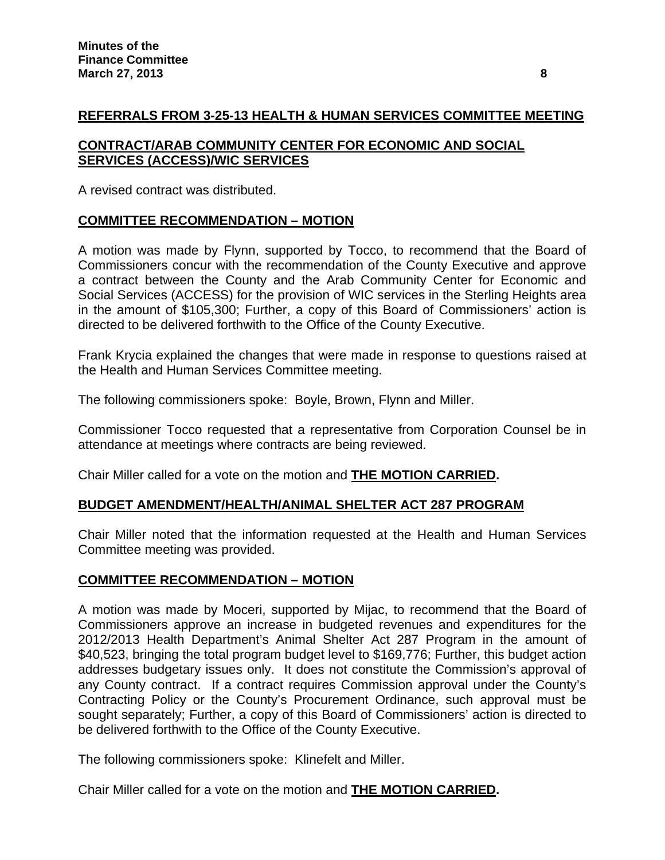# **REFERRALS FROM 3-25-13 HEALTH & HUMAN SERVICES COMMITTEE MEETING**

## **CONTRACT/ARAB COMMUNITY CENTER FOR ECONOMIC AND SOCIAL SERVICES (ACCESS)/WIC SERVICES**

A revised contract was distributed.

## **COMMITTEE RECOMMENDATION – MOTION**

A motion was made by Flynn, supported by Tocco, to recommend that the Board of Commissioners concur with the recommendation of the County Executive and approve a contract between the County and the Arab Community Center for Economic and Social Services (ACCESS) for the provision of WIC services in the Sterling Heights area in the amount of \$105,300; Further, a copy of this Board of Commissioners' action is directed to be delivered forthwith to the Office of the County Executive.

Frank Krycia explained the changes that were made in response to questions raised at the Health and Human Services Committee meeting.

The following commissioners spoke: Boyle, Brown, Flynn and Miller.

Commissioner Tocco requested that a representative from Corporation Counsel be in attendance at meetings where contracts are being reviewed.

Chair Miller called for a vote on the motion and **THE MOTION CARRIED.**

#### **BUDGET AMENDMENT/HEALTH/ANIMAL SHELTER ACT 287 PROGRAM**

Chair Miller noted that the information requested at the Health and Human Services Committee meeting was provided.

#### **COMMITTEE RECOMMENDATION – MOTION**

A motion was made by Moceri, supported by Mijac, to recommend that the Board of Commissioners approve an increase in budgeted revenues and expenditures for the 2012/2013 Health Department's Animal Shelter Act 287 Program in the amount of \$40,523, bringing the total program budget level to \$169,776; Further, this budget action addresses budgetary issues only. It does not constitute the Commission's approval of any County contract. If a contract requires Commission approval under the County's Contracting Policy or the County's Procurement Ordinance, such approval must be sought separately; Further, a copy of this Board of Commissioners' action is directed to be delivered forthwith to the Office of the County Executive.

The following commissioners spoke: Klinefelt and Miller.

Chair Miller called for a vote on the motion and **THE MOTION CARRIED.**